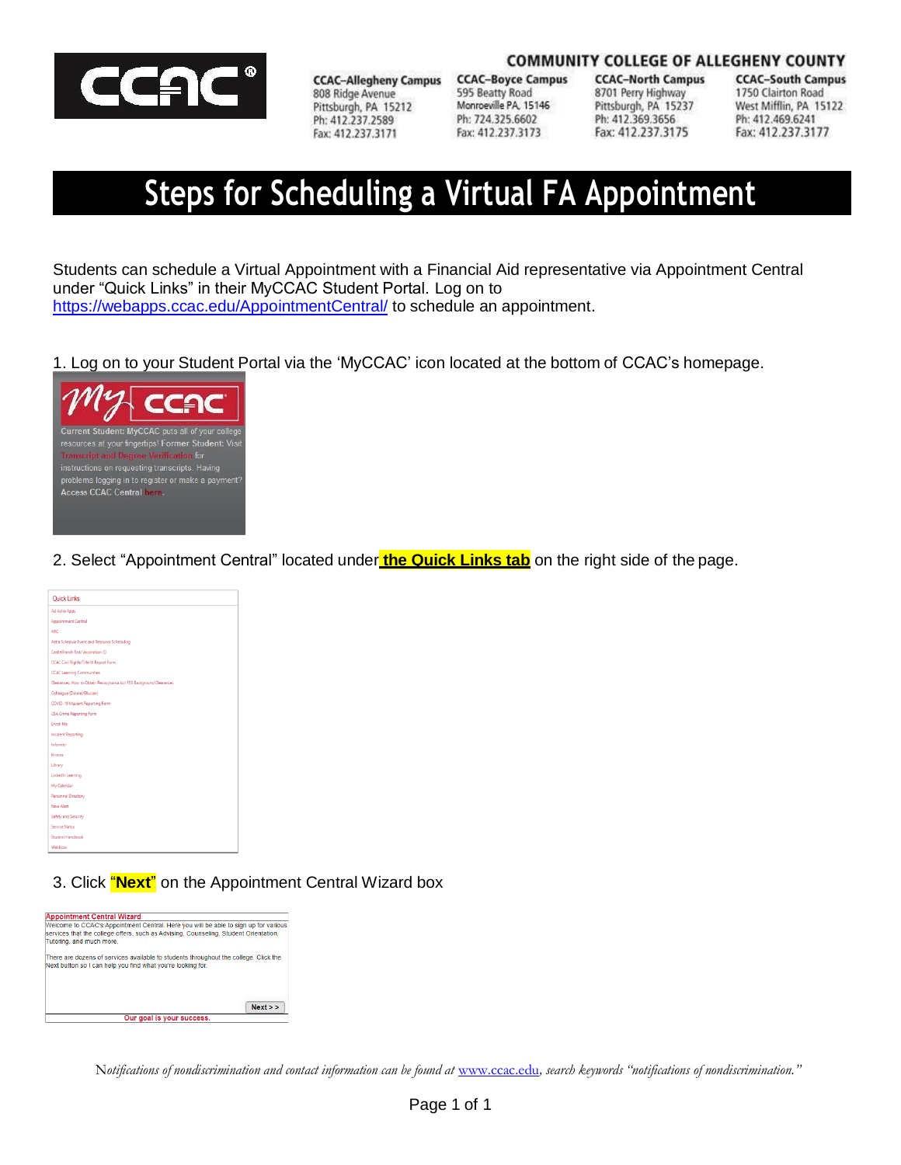

**CCAC-Allegheny Campus** 808 Ridge Avenue Pittsburgh, PA 15212 Ph: 412.237.2589 Fax: 412.237.3171

**CCAC-Boyce Campus** 595 Beatty Road Monroeville PA, 15146 Ph: 724.325.6602 Fax: 412.237.3173

**CCAC-North Campus** 8701 Perry Highway Pittsburgh, PA 15237 Ph: 412.369.3656 Fax: 412.237.3175

**COMMUNITY COLLEGE OF ALLEGHENY COUNTY CCAC-South Campus** 1750 Clairton Road West Mifflin, PA 15122 Ph: 412.469.6241 Fax: 412.237.3177

# **Steps for Scheduling a Virtual FA Appointment**

Students can schedule a Virtual Appointment with a Financial Aid representative via Appointment Central under "Quick Links" in their MyCCAC Student Portal. Log on to <https://webapps.ccac.edu/AppointmentCentral/> to schedule an appointment.

1. Log on to your Student Portal via the 'MyCCAC' icon located at the bottom of CCAC's homepage.



2. Select "Appointment Central" located under **the Quick Links tab** on the right side of the page.



3. Click "**Next**" on the Appointment Central Wizard box



Notifications of nondiscrimination and contact information can be found at [www.ccac.edu](http://www.ccac.edu/), search keywords "notifications of nondiscrimination."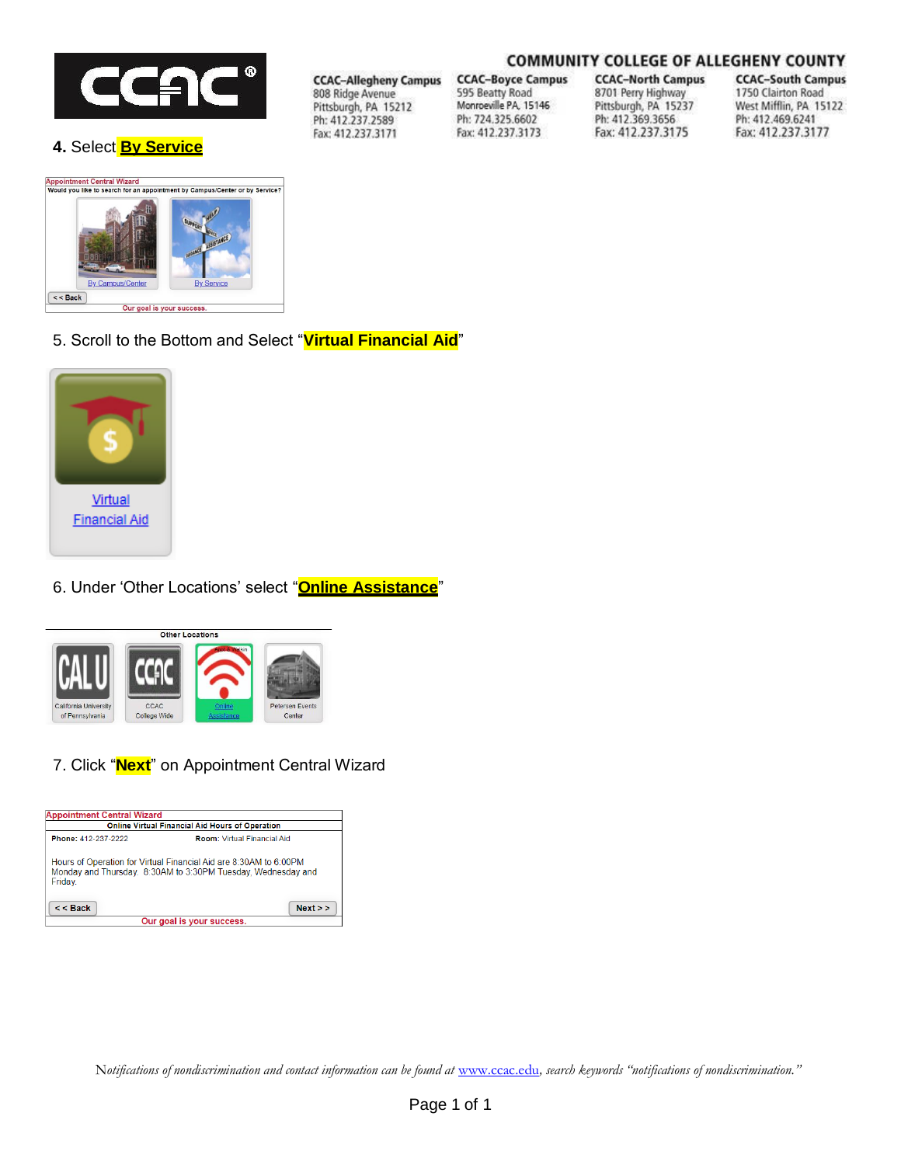

**4.** Select **By Service**

# **COMMUNITY COLLEGE OF ALLEGHENY COUNTY**

**CCAC-Allegheny Campus** 808 Ridge Avenue Pittsburgh, PA 15212 Ph: 412.237.2589 Fax: 412.237.3171

**CCAC-Boyce Campus** 595 Beatty Road Monroeville PA, 15146 Ph: 724.325.6602

Fax: 412.237.3173

**CCAC-North Campus** 8701 Perry Highway Pittsburgh, PA 15237 Ph: 412.369.3656 Fax: 412.237.3175

**CCAC-South Campus** 1750 Clairton Road West Mifflin, PA 15122 Ph: 412.469.6241 Fax: 412.237.3177



5. Scroll to the Bottom and Select "**Virtual Financial Aid**"



6. Under 'Other Locations' select "**Online Assistance**"



7. Click "**Next**" on Appointment Central Wizard



Notifications of nondiscrimination and contact information can be found at [www.ccac.edu](http://www.ccac.edu/), search keywords "notifications of nondiscrimination."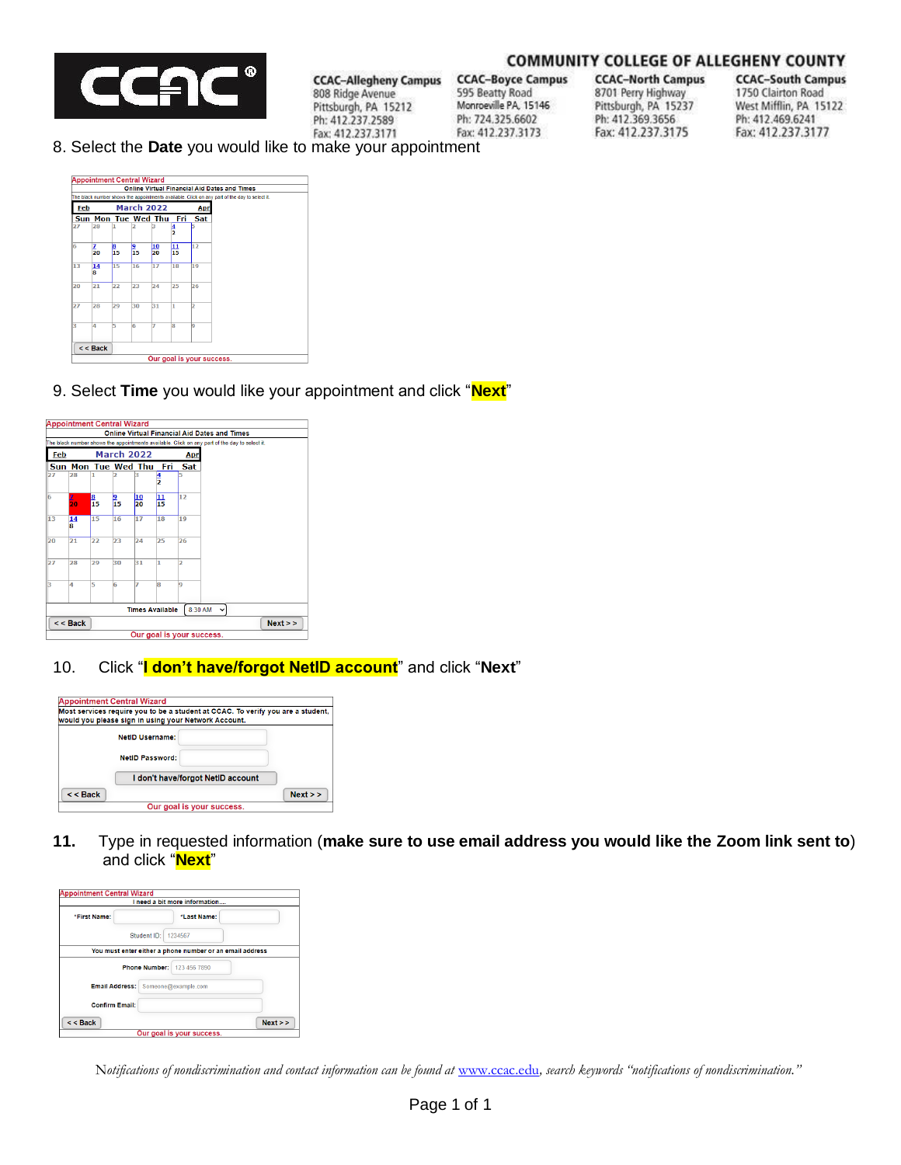

#### **COMMUNITY COLLEGE OF ALLEGHENY COUNTY**

**CCAC-Boyce Campus** 595 Beatty Road Monroeville PA, 15146 Ph: 724.325.6602 Fax: 412.237.3173

**CCAC-North Campus** 8701 Perry Highway Pittsburgh, PA 15237 Ph: 412.369.3656 Fax: 412.237.3175

**CCAC-South Campus** 1750 Clairton Road West Mifflin, PA 15122 Ph: 412.469.6241 Fax: 412.237.3177

8. Select the **Date** you would like to make your appointment

**CCAC-Allegheny Campus** 

808 Ridge Avenue

Ph: 412.237.2589

Fax: 412.237.3171

Pittsburgh, PA 15212



9. Select **Time** you would like your appointment and click "**Next**"



10. Click "**I don't have/forgot NetID account**" and click "**Next**"



**11.** Type in requested information (**make sure to use email address you would like the Zoom link sent to**) and click "**Next**"



Notifications of nondiscrimination and contact information can be found at [www.ccac.edu](http://www.ccac.edu/), search keywords "notifications of nondiscrimination."